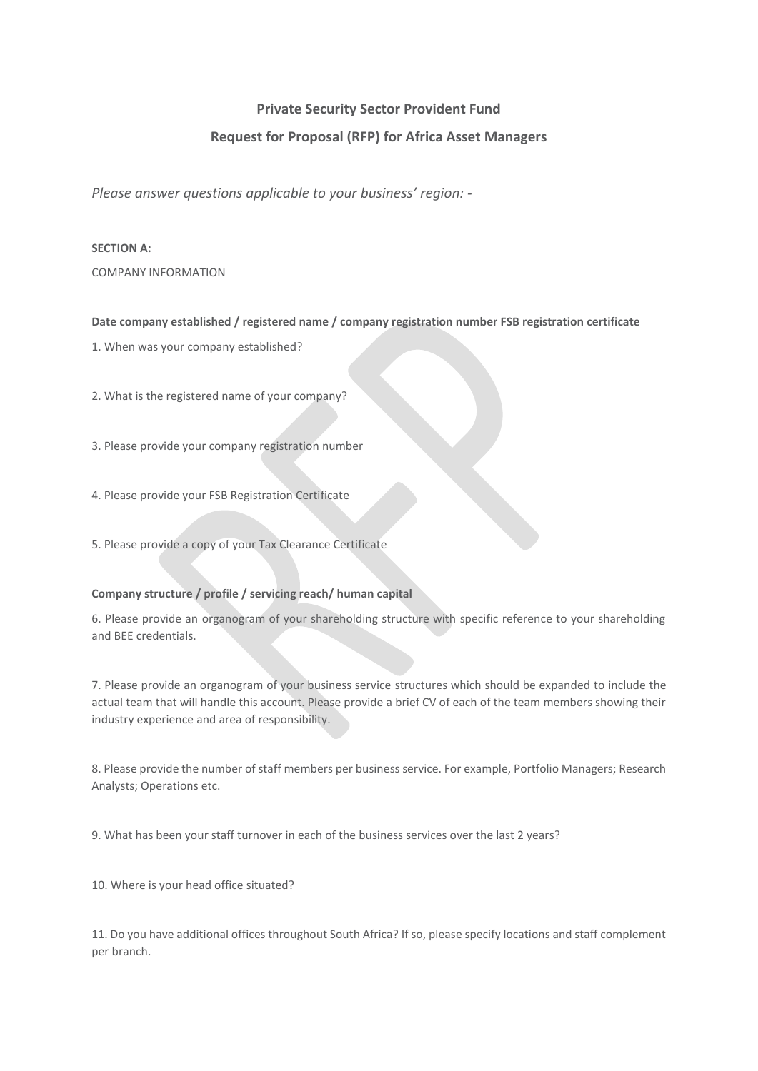# **Private Security Sector Provident Fund**

# **Request for Proposal (RFP) for Africa Asset Managers**

*Please answer questions applicable to your business' region: -*

## **SECTION A:**

COMPANY INFORMATION

**Date company established / registered name / company registration number FSB registration certificate**

1. When was your company established?

2. What is the registered name of your company?

3. Please provide your company registration number

- 4. Please provide your FSB Registration Certificate
- 5. Please provide a copy of your Tax Clearance Certificate

## **Company structure / profile / servicing reach/ human capital**

6. Please provide an organogram of your shareholding structure with specific reference to your shareholding and BEE credentials.

7. Please provide an organogram of your business service structures which should be expanded to include the actual team that will handle this account. Please provide a brief CV of each of the team members showing their industry experience and area of responsibility.

8. Please provide the number of staff members per business service. For example, Portfolio Managers; Research Analysts; Operations etc.

9. What has been your staff turnover in each of the business services over the last 2 years?

10. Where is your head office situated?

11. Do you have additional offices throughout South Africa? If so, please specify locations and staff complement per branch.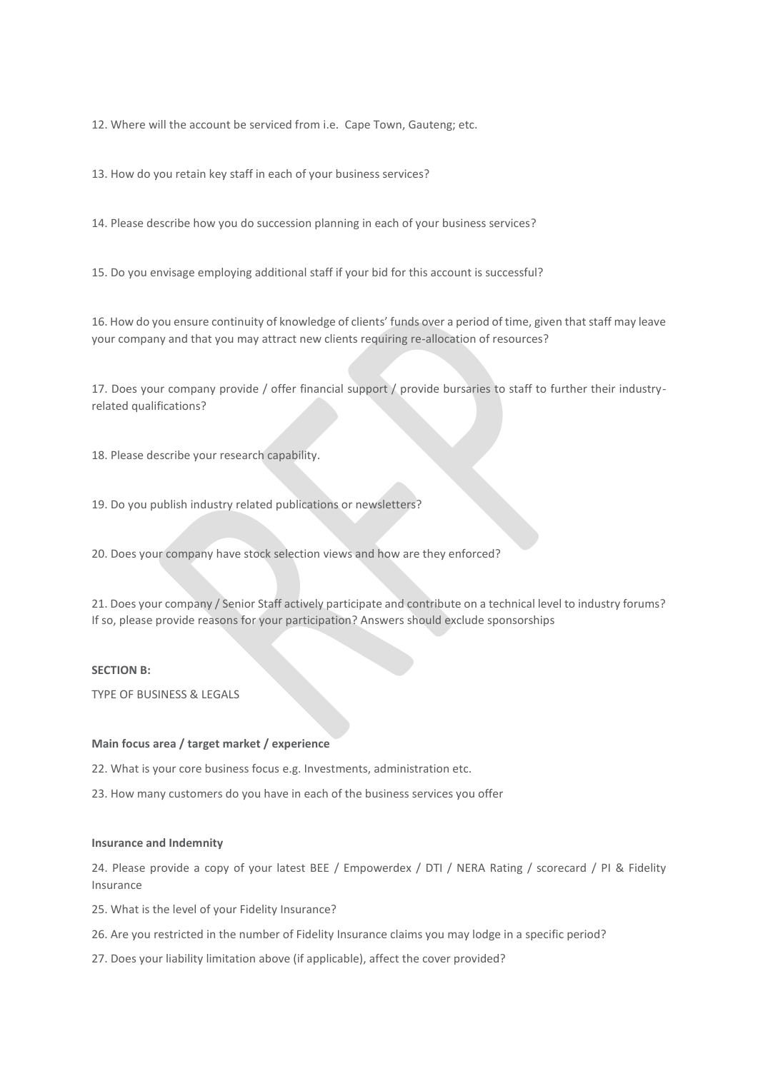12. Where will the account be serviced from i.e. Cape Town, Gauteng; etc.

13. How do you retain key staff in each of your business services?

14. Please describe how you do succession planning in each of your business services?

15. Do you envisage employing additional staff if your bid for this account is successful?

16. How do you ensure continuity of knowledge of clients' funds over a period of time, given that staff may leave your company and that you may attract new clients requiring re-allocation of resources?

17. Does your company provide / offer financial support / provide bursaries to staff to further their industryrelated qualifications?

18. Please describe your research capability.

19. Do you publish industry related publications or newsletters?

20. Does your company have stock selection views and how are they enforced?

21. Does your company / Senior Staff actively participate and contribute on a technical level to industry forums? If so, please provide reasons for your participation? Answers should exclude sponsorships

#### **SECTION B:**

TYPE OF BUSINESS & LEGALS

#### **Main focus area / target market / experience**

22. What is your core business focus e.g. Investments, administration etc.

23. How many customers do you have in each of the business services you offer

## **Insurance and Indemnity**

24. Please provide a copy of your latest BEE / Empowerdex / DTI / NERA Rating / scorecard / PI & Fidelity Insurance

25. What is the level of your Fidelity Insurance?

- 26. Are you restricted in the number of Fidelity Insurance claims you may lodge in a specific period?
- 27. Does your liability limitation above (if applicable), affect the cover provided?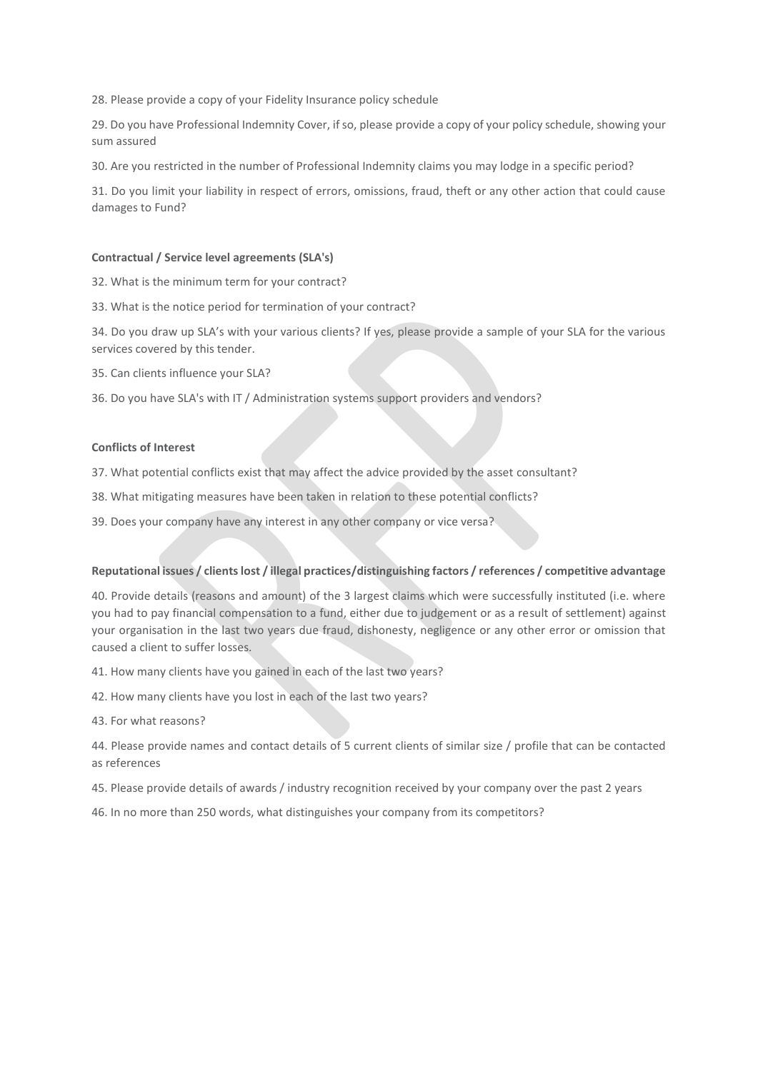28. Please provide a copy of your Fidelity Insurance policy schedule

29. Do you have Professional Indemnity Cover, if so, please provide a copy of your policy schedule, showing your sum assured

30. Are you restricted in the number of Professional Indemnity claims you may lodge in a specific period?

31. Do you limit your liability in respect of errors, omissions, fraud, theft or any other action that could cause damages to Fund?

### **Contractual / Service level agreements (SLA's)**

- 32. What is the minimum term for your contract?
- 33. What is the notice period for termination of your contract?

34. Do you draw up SLA's with your various clients? If yes, please provide a sample of your SLA for the various services covered by this tender.

35. Can clients influence your SLA?

36. Do you have SLA's with IT / Administration systems support providers and vendors?

#### **Conflicts of Interest**

37. What potential conflicts exist that may affect the advice provided by the asset consultant?

- 38. What mitigating measures have been taken in relation to these potential conflicts?
- 39. Does your company have any interest in any other company or vice versa?

## **Reputational issues / clients lost / illegal practices/distinguishing factors / references / competitive advantage**

40. Provide details (reasons and amount) of the 3 largest claims which were successfully instituted (i.e. where you had to pay financial compensation to a fund, either due to judgement or as a result of settlement) against your organisation in the last two years due fraud, dishonesty, negligence or any other error or omission that caused a client to suffer losses.

41. How many clients have you gained in each of the last two years?

42. How many clients have you lost in each of the last two years?

43. For what reasons?

44. Please provide names and contact details of 5 current clients of similar size / profile that can be contacted as references

- 45. Please provide details of awards / industry recognition received by your company over the past 2 years
- 46. In no more than 250 words, what distinguishes your company from its competitors?